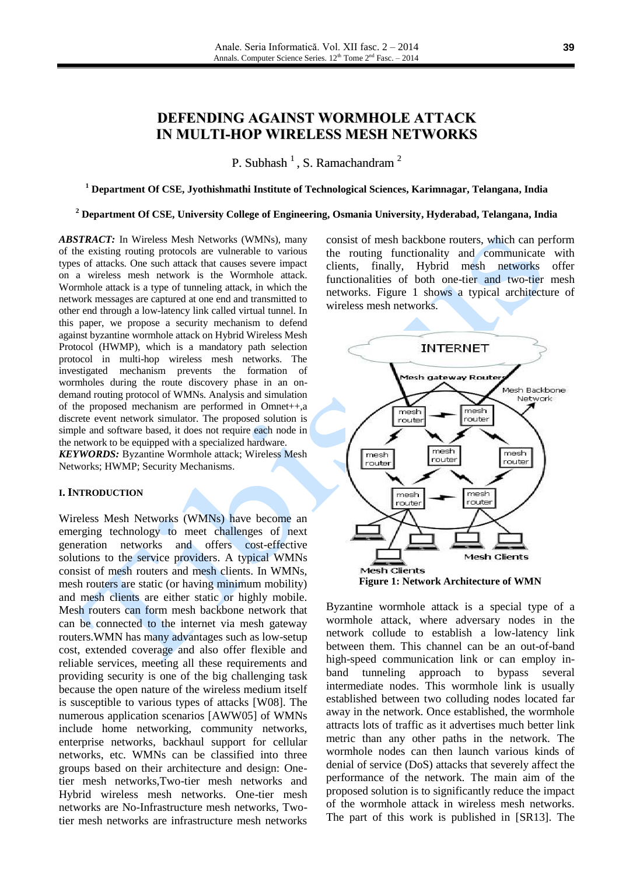# **DEFENDING AGAINST WORMHOLE ATTACK IN MULTI-HOP WIRELESS MESH NETWORKS**

P. Subhash<sup>1</sup>, S. Ramachandram<sup>2</sup>

#### **<sup>1</sup> Department Of CSE, Jyothishmathi Institute of Technological Sciences, Karimnagar, Telangana, India**

## **<sup>2</sup> Department Of CSE, University College of Engineering, Osmania University, Hyderabad, Telangana, India**

*ABSTRACT:* In Wireless Mesh Networks (WMNs), many of the existing routing protocols are vulnerable to various types of attacks. One such attack that causes severe impact on a wireless mesh network is the Wormhole attack. Wormhole attack is a type of tunneling attack, in which the network messages are captured at one end and transmitted to other end through a low-latency link called virtual tunnel. In this paper, we propose a security mechanism to defend against byzantine wormhole attack on Hybrid Wireless Mesh Protocol (HWMP), which is a mandatory path selection protocol in multi-hop wireless mesh networks. The investigated mechanism prevents the formation of wormholes during the route discovery phase in an ondemand routing protocol of WMNs. Analysis and simulation of the proposed mechanism are performed in Omnet++,a discrete event network simulator. The proposed solution is simple and software based, it does not require each node in the network to be equipped with a specialized hardware. *KEYWORDS:* Byzantine Wormhole attack; Wireless Mesh

Networks; HWMP; Security Mechanisms.

#### **I. INTRODUCTION**

Wireless Mesh Networks (WMNs) have become an emerging technology to meet challenges of next generation networks and offers cost-effective solutions to the service providers. A typical WMNs consist of mesh routers and mesh clients. In WMNs, mesh routers are static (or having minimum mobility) and mesh clients are either static or highly mobile. Mesh routers can form mesh backbone network that can be connected to the internet via mesh gateway routers.WMN has many advantages such as low-setup cost, extended coverage and also offer flexible and reliable services, meeting all these requirements and providing security is one of the big challenging task because the open nature of the wireless medium itself is susceptible to various types of attacks [W08]. The numerous application scenarios [AWW05] of WMNs include home networking, community networks, enterprise networks, backhaul support for cellular networks, etc. WMNs can be classified into three groups based on their architecture and design: Onetier mesh networks,Two-tier mesh networks and Hybrid wireless mesh networks. One-tier mesh networks are No-Infrastructure mesh networks, Twotier mesh networks are infrastructure mesh networks

consist of mesh backbone routers, which can perform the routing functionality and communicate with clients, finally, Hybrid mesh networks offer functionalities of both one-tier and two-tier mesh networks. Figure 1 shows a typical architecture of wireless mesh networks.



Byzantine wormhole attack is a special type of a wormhole attack, where adversary nodes in the network collude to establish a low-latency link between them. This channel can be an out-of-band high-speed communication link or can employ inband tunneling approach to bypass several intermediate nodes. This wormhole link is usually established between two colluding nodes located far away in the network. Once established, the wormhole attracts lots of traffic as it advertises much better link metric than any other paths in the network. The wormhole nodes can then launch various kinds of denial of service (DoS) attacks that severely affect the performance of the network. The main aim of the proposed solution is to significantly reduce the impact of the wormhole attack in wireless mesh networks. The part of this work is published in [SR13]. The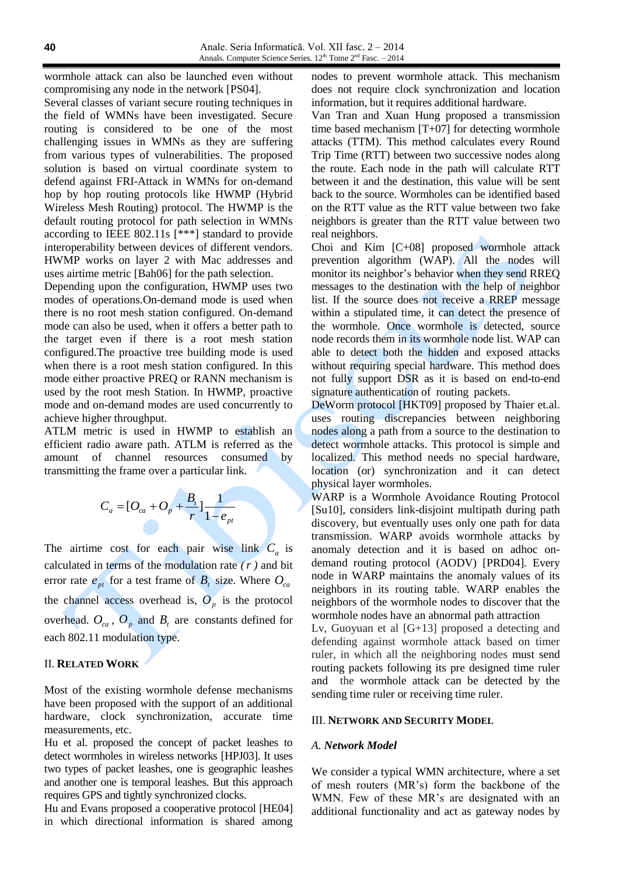wormhole attack can also be launched even without compromising any node in the network [PS04].

Several classes of variant secure routing techniques in the field of WMNs have been investigated. Secure routing is considered to be one of the most challenging issues in WMNs as they are suffering from various types of vulnerabilities. The proposed solution is based on virtual coordinate system to defend against FRI-Attack in WMNs for on-demand hop by hop routing protocols like HWMP (Hybrid Wireless Mesh Routing) protocol. The HWMP is the default routing protocol for path selection in WMNs according to IEEE 802.11s [\*\*\*] standard to provide interoperability between devices of different vendors. HWMP works on layer 2 with Mac addresses and uses airtime metric [Bah06] for the path selection.

Depending upon the configuration, HWMP uses two modes of operations.On-demand mode is used when there is no root mesh station configured. On-demand mode can also be used, when it offers a better path to the target even if there is a root mesh station configured.The proactive tree building mode is used when there is a root mesh station configured. In this mode either proactive PREQ or RANN mechanism is used by the root mesh Station. In HWMP, proactive mode and on-demand modes are used concurrently to achieve higher throughput.

ATLM metric is used in HWMP to establish an efficient radio aware path. ATLM is referred as the amount of channel resources consumed by transmitting the frame over a particular link.

$$
C_a = [O_{ca} + O_p + \frac{B_t}{r}] \frac{1}{1 - e_{pt}}
$$

The airtime cost for each pair wise link  $C_a$  is calculated in terms of the modulation rate *( r )* and bit error rate  $e_{pt}$  for a test frame of  $B_t$  size. Where  $O_{ca}$ the channel access overhead is,  $O_p$  is the protocol overhead.  $O_{ca}$ ,  $O_p$  and  $B_t$  are constants defined for each 802.11 modulation type.

## II. **RELATED WORK**

Most of the existing wormhole defense mechanisms have been proposed with the support of an additional hardware, clock synchronization, accurate time measurements, etc.

Hu et al. proposed the concept of packet leashes to detect wormholes in wireless networks [HPJ03]. It uses two types of packet leashes, one is geographic leashes and another one is temporal leashes. But this approach requires GPS and tightly synchronized clocks.

Hu and Evans proposed a cooperative protocol [HE04] in which directional information is shared among

nodes to prevent wormhole attack. This mechanism does not require clock synchronization and location information, but it requires additional hardware.

Van Tran and Xuan Hung proposed a transmission time based mechanism [T+07] for detecting wormhole attacks (TTM). This method calculates every Round Trip Time (RTT) between two successive nodes along the route. Each node in the path will calculate RTT between it and the destination, this value will be sent back to the source. Wormholes can be identified based on the RTT value as the RTT value between two fake neighbors is greater than the RTT value between two real neighbors.

Choi and Kim [C+08] proposed wormhole attack prevention algorithm (WAP). All the nodes will monitor its neighbor's behavior when they send RREQ messages to the destination with the help of neighbor list. If the source does not receive a RREP message within a stipulated time, it can detect the presence of the wormhole. Once wormhole is detected, source node records them in its wormhole node list. WAP can able to detect both the hidden and exposed attacks without requiring special hardware. This method does not fully support DSR as it is based on end-to-end signature authentication of routing packets.

DeWorm protocol [HKT09] proposed by Thaier et.al. uses routing discrepancies between neighboring nodes along a path from a source to the destination to detect wormhole attacks. This protocol is simple and localized. This method needs no special hardware, location (or) synchronization and it can detect physical layer wormholes.

WARP is a Wormhole Avoidance Routing Protocol [Su10], considers link-disjoint multipath during path discovery, but eventually uses only one path for data transmission. WARP avoids wormhole attacks by anomaly detection and it is based on adhoc ondemand routing protocol (AODV) [PRD04]. Every node in WARP maintains the anomaly values of its neighbors in its routing table. WARP enables the neighbors of the wormhole nodes to discover that the wormhole nodes have an abnormal path attraction

Lv, Guoyuan et al [G+13] proposed a detecting and defending against wormhole attack based on timer ruler, in which all the neighboring nodes must send routing packets following its pre designed time ruler and the wormhole attack can be detected by the sending time ruler or receiving time ruler.

## III. **NETWORK AND SECURITY MODEL**

# *A. Network Model*

We consider a typical WMN architecture, where a set of mesh routers (MR's) form the backbone of the WMN. Few of these MR's are designated with an additional functionality and act as gateway nodes by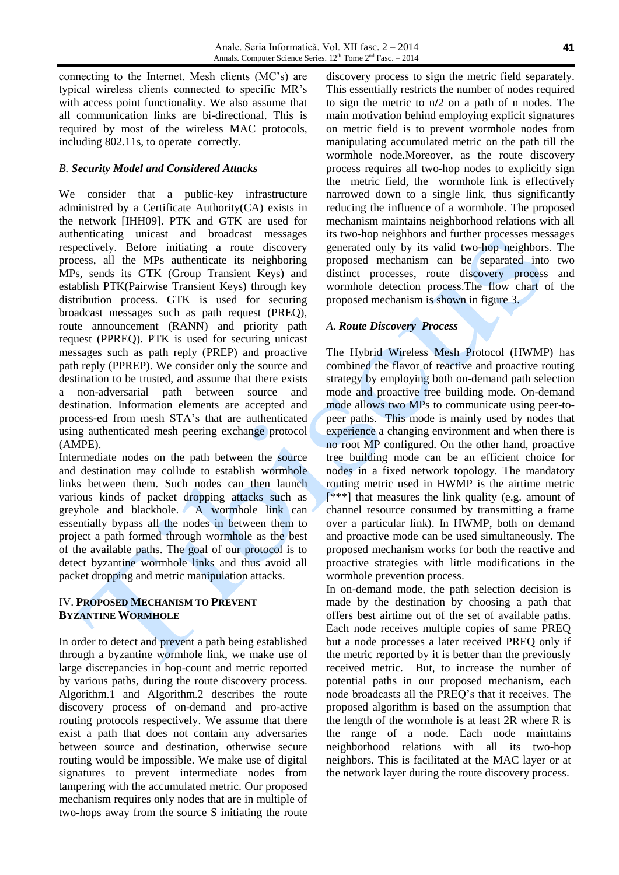connecting to the Internet. Mesh clients (MC's) are typical wireless clients connected to specific MR's with access point functionality. We also assume that all communication links are bi-directional. This is required by most of the wireless MAC protocols, including 802.11s, to operate correctly.

# *B. Security Model and Considered Attacks*

We consider that a public-key infrastructure administred by a Certificate Authority(CA) exists in the network [IHH09]. PTK and GTK are used for authenticating unicast and broadcast messages respectively. Before initiating a route discovery process, all the MPs authenticate its neighboring MPs, sends its GTK (Group Transient Keys) and establish PTK(Pairwise Transient Keys) through key distribution process. GTK is used for securing broadcast messages such as path request (PREQ), route announcement (RANN) and priority path request (PPREQ). PTK is used for securing unicast messages such as path reply (PREP) and proactive path reply (PPREP). We consider only the source and destination to be trusted, and assume that there exists a non-adversarial path between source and destination. Information elements are accepted and process-ed from mesh STA's that are authenticated using authenticated mesh peering exchange protocol (AMPE).

Intermediate nodes on the path between the source and destination may collude to establish wormhole links between them. Such nodes can then launch various kinds of packet dropping attacks such as greyhole and blackhole. A wormhole link can essentially bypass all the nodes in between them to project a path formed through wormhole as the best of the available paths. The goal of our protocol is to detect byzantine wormhole links and thus avoid all packet dropping and metric manipulation attacks.

# IV. **PROPOSED MECHANISM TO PREVENT BYZANTINE WORMHOLE**

In order to detect and prevent a path being established through a byzantine wormhole link, we make use of large discrepancies in hop-count and metric reported by various paths, during the route discovery process. Algorithm.1 and Algorithm.2 describes the route discovery process of on-demand and pro-active routing protocols respectively. We assume that there exist a path that does not contain any adversaries between source and destination, otherwise secure routing would be impossible. We make use of digital signatures to prevent intermediate nodes from tampering with the accumulated metric. Our proposed mechanism requires only nodes that are in multiple of two-hops away from the source S initiating the route

discovery process to sign the metric field separately. This essentially restricts the number of nodes required to sign the metric to n**/**2 on a path of n nodes. The main motivation behind employing explicit signatures on metric field is to prevent wormhole nodes from manipulating accumulated metric on the path till the wormhole node.Moreover, as the route discovery process requires all two-hop nodes to explicitly sign the metric field, the wormhole link is effectively narrowed down to a single link, thus significantly reducing the influence of a wormhole. The proposed mechanism maintains neighborhood relations with all its two-hop neighbors and further processes messages generated only by its valid two-hop neighbors. The proposed mechanism can be separated into two distinct processes, route discovery process and wormhole detection process.The flow chart of the proposed mechanism is shown in figure 3.

# *A. Route Discovery Process*

The Hybrid Wireless Mesh Protocol (HWMP) has combined the flavor of reactive and proactive routing strategy by employing both on-demand path selection mode and proactive tree building mode. On-demand mode allows two MPs to communicate using peer-topeer paths. This mode is mainly used by nodes that experience a changing environment and when there is no root MP configured. On the other hand, proactive tree building mode can be an efficient choice for nodes in a fixed network topology. The mandatory routing metric used in HWMP is the airtime metric  $[***]$  that measures the link quality (e.g. amount of channel resource consumed by transmitting a frame over a particular link). In HWMP, both on demand and proactive mode can be used simultaneously. The proposed mechanism works for both the reactive and proactive strategies with little modifications in the wormhole prevention process.

In on-demand mode, the path selection decision is made by the destination by choosing a path that offers best airtime out of the set of available paths. Each node receives multiple copies of same PREQ but a node processes a later received PREQ only if the metric reported by it is better than the previously received metric. But, to increase the number of potential paths in our proposed mechanism, each node broadcasts all the PREQ's that it receives. The proposed algorithm is based on the assumption that the length of the wormhole is at least 2R where R is the range of a node. Each node maintains neighborhood relations with all its two-hop neighbors. This is facilitated at the MAC layer or at the network layer during the route discovery process.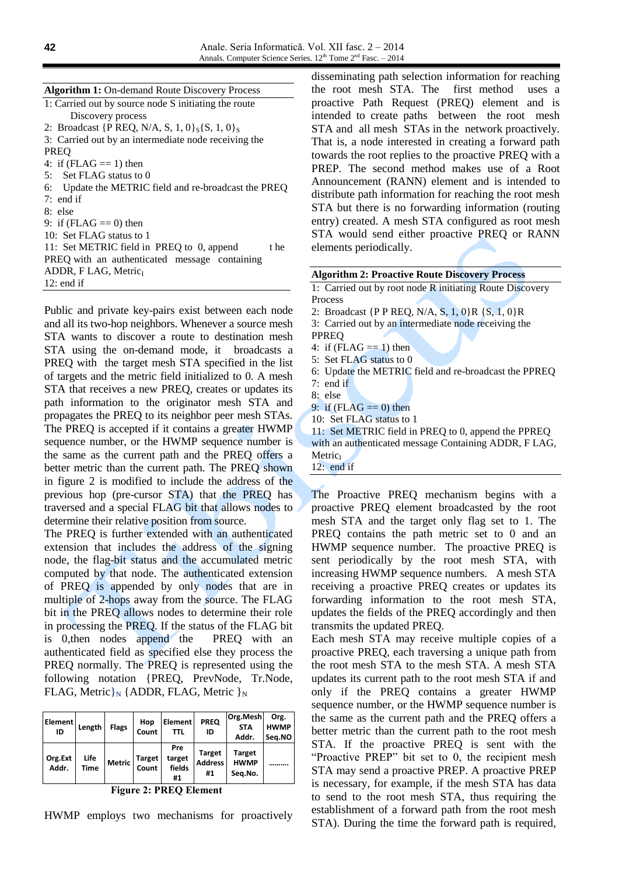| <b>Algorithm 1: On-demand Route Discovery Process</b>                        |  |  |  |  |  |
|------------------------------------------------------------------------------|--|--|--|--|--|
| 1: Carried out by source node S initiating the route                         |  |  |  |  |  |
| Discovery process                                                            |  |  |  |  |  |
| 2: Broadcast {P REQ, N/A, S, 1, $0$ } <sub>S</sub> {S, 1, $0$ } <sub>S</sub> |  |  |  |  |  |
| 3: Carried out by an intermediate node receiving the                         |  |  |  |  |  |
| <b>PREO</b>                                                                  |  |  |  |  |  |
| 4: if $(FLAG == 1)$ then                                                     |  |  |  |  |  |
| 5: Set FLAG status to 0                                                      |  |  |  |  |  |
| 6: Update the METRIC field and re-broadcast the PREQ                         |  |  |  |  |  |
| $7:$ end if                                                                  |  |  |  |  |  |
| 8: else                                                                      |  |  |  |  |  |
| 9: if (FLAG $== 0$ ) then                                                    |  |  |  |  |  |
| 10: Set FLAG status to 1                                                     |  |  |  |  |  |
| 11: Set METRIC field in PREQ to 0, append<br>t he                            |  |  |  |  |  |
| PREQ with an authenticated message containing                                |  |  |  |  |  |
| ADDR, F LAG, Metric                                                          |  |  |  |  |  |
| 12: end if                                                                   |  |  |  |  |  |
|                                                                              |  |  |  |  |  |

Public and private key-pairs exist between each node and all its two-hop neighbors. Whenever a source mesh STA wants to discover a route to destination mesh STA using the on-demand mode, it broadcasts a PREQ with the target mesh STA specified in the list of targets and the metric field initialized to 0. A mesh STA that receives a new PREQ, creates or updates its path information to the originator mesh STA and propagates the PREQ to its neighbor peer mesh STAs. The PREQ is accepted if it contains a greater HWMP sequence number, or the HWMP sequence number is the same as the current path and the PREQ offers a better metric than the current path. The PREQ shown in figure 2 is modified to include the address of the previous hop (pre-cursor STA) that the PREQ has traversed and a special FLAG bit that allows nodes to determine their relative position from source.

The PREQ is further extended with an authenticated extension that includes the address of the signing node, the flag-bit status and the accumulated metric computed by that node. The authenticated extension of PREQ is appended by only nodes that are in multiple of 2-hops away from the source. The FLAG bit in the PREQ allows nodes to determine their role in processing the PREQ. If the status of the FLAG bit is 0,then nodes append the PREQ with an authenticated field as specified else they process the PREQ normally. The PREQ is represented using the following notation {PREQ, PrevNode, Tr.Node, FLAG, Metric  $\{ADDR, FLAG, Metric\}_N$ 

| <b>Element</b><br>ID | Length       | <b>Flags</b>  | Hop<br>Count    | Element<br>TTL                | <b>PREQ</b><br>ID                     | Org.Mesh<br><b>STA</b><br>Addr.  | Org.<br><b>HWMP</b><br>Seg.NO |
|----------------------|--------------|---------------|-----------------|-------------------------------|---------------------------------------|----------------------------------|-------------------------------|
| Org.Ext<br>Addr.     | Life<br>Time | <b>Metric</b> | Target<br>Count | Pre<br>target<br>fields<br>#1 | <b>Target</b><br><b>Address</b><br>#1 | Target<br><b>HWMP</b><br>Sea.No. |                               |

**Figure 2: PREQ Element**

HWMP employs two mechanisms for proactively

disseminating path selection information for reaching the root mesh STA. The first method uses a proactive Path Request (PREQ) element and is intended to create paths between the root mesh STA and all mesh STAs in the network proactively. That is, a node interested in creating a forward path towards the root replies to the proactive PREQ with a PREP. The second method makes use of a Root Announcement (RANN) element and is intended to distribute path information for reaching the root mesh STA but there is no forwarding information (routing entry) created. A mesh STA configured as root mesh STA would send either proactive PREQ or RANN elements periodically.

| <b>Algorithm 2: Proactive Route Discovery Process</b> |  |  |  |
|-------------------------------------------------------|--|--|--|
|-------------------------------------------------------|--|--|--|

**Algorithm 2: Proactive Route Discovery Process** 1: Carried out by root node R initiating Route Discovery Process 2: Broadcast {P P REQ, N/A, S, 1, 0}R {S, 1, 0}R 3: Carried out by an intermediate node receiving the PPREQ 4: if  $(FLAG == 1)$  then 5: Set FLAG status to 0 6: Update the METRIC field and re-broadcast the PPREQ 7: end if 8: else 9: if  $(FLAG == 0)$  then 10: Set FLAG status to 1 11: Set METRIC field in PREQ to 0, append the PPREQ with an authenticated message Containing ADDR, F LAG,  $Metric<sub>I</sub>$ 

12: end if

The Proactive PREQ mechanism begins with a proactive PREQ element broadcasted by the root mesh STA and the target only flag set to 1. The PREQ contains the path metric set to 0 and an HWMP sequence number. The proactive PREQ is sent periodically by the root mesh STA, with increasing HWMP sequence numbers. A mesh STA receiving a proactive PREQ creates or updates its forwarding information to the root mesh STA, updates the fields of the PREQ accordingly and then transmits the updated PREQ.

Each mesh STA may receive multiple copies of a proactive PREQ, each traversing a unique path from the root mesh STA to the mesh STA. A mesh STA updates its current path to the root mesh STA if and only if the PREQ contains a greater HWMP sequence number, or the HWMP sequence number is the same as the current path and the PREQ offers a better metric than the current path to the root mesh STA. If the proactive PREQ is sent with the "Proactive PREP" bit set to 0, the recipient mesh STA may send a proactive PREP. A proactive PREP is necessary, for example, if the mesh STA has data to send to the root mesh STA, thus requiring the establishment of a forward path from the root mesh STA). During the time the forward path is required,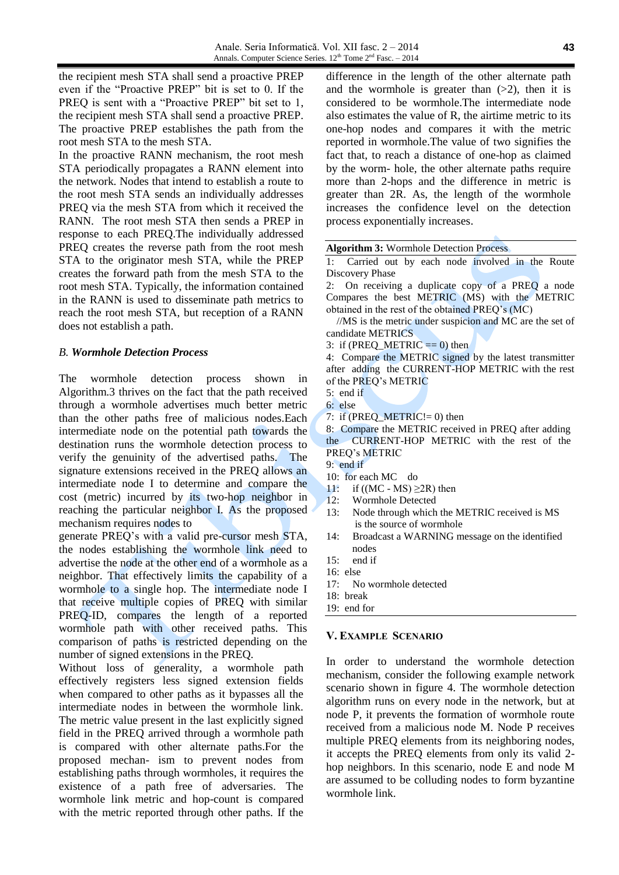the recipient mesh STA shall send a proactive PREP even if the "Proactive PREP" bit is set to 0. If the PREQ is sent with a "Proactive PREP" bit set to 1, the recipient mesh STA shall send a proactive PREP. The proactive PREP establishes the path from the root mesh STA to the mesh STA.

In the proactive RANN mechanism, the root mesh STA periodically propagates a RANN element into the network. Nodes that intend to establish a route to the root mesh STA sends an individually addresses PREQ via the mesh STA from which it received the RANN. The root mesh STA then sends a PREP in response to each PREQ.The individually addressed PREQ creates the reverse path from the root mesh STA to the originator mesh STA, while the PREP creates the forward path from the mesh STA to the root mesh STA. Typically, the information contained in the RANN is used to disseminate path metrics to reach the root mesh STA, but reception of a RANN does not establish a path.

## *B. Wormhole Detection Process*

The wormhole detection process shown in Algorithm.3 thrives on the fact that the path received through a wormhole advertises much better metric than the other paths free of malicious nodes.Each intermediate node on the potential path towards the destination runs the wormhole detection process to verify the genuinity of the advertised paths. The signature extensions received in the PREQ allows an intermediate node I to determine and compare the cost (metric) incurred by its two-hop neighbor in reaching the particular neighbor I. As the proposed mechanism requires nodes to

generate PREQ's with a valid pre-cursor mesh STA, the nodes establishing the wormhole link need to advertise the node at the other end of a wormhole as a neighbor. That effectively limits the capability of a wormhole to a single hop. The intermediate node I that receive multiple copies of PREQ with similar PREQ-ID, compares the length of a reported wormhole path with other received paths. This comparison of paths is restricted depending on the number of signed extensions in the PREQ.

Without loss of generality, a wormhole path effectively registers less signed extension fields when compared to other paths as it bypasses all the intermediate nodes in between the wormhole link. The metric value present in the last explicitly signed field in the PREQ arrived through a wormhole path is compared with other alternate paths.For the proposed mechan- ism to prevent nodes from establishing paths through wormholes, it requires the existence of a path free of adversaries. The wormhole link metric and hop-count is compared with the metric reported through other paths. If the

difference in the length of the other alternate path and the wormhole is greater than  $(>2)$ , then it is considered to be wormhole.The intermediate node also estimates the value of R, the airtime metric to its one-hop nodes and compares it with the metric reported in wormhole.The value of two signifies the fact that, to reach a distance of one-hop as claimed by the worm- hole, the other alternate paths require more than 2-hops and the difference in metric is greater than 2R. As, the length of the wormhole increases the confidence level on the detection process exponentially increases.

**Algorithm 3:** Wormhole Detection Process

1: Carried out by each node involved in the Route Discovery Phase

2: On receiving a duplicate copy of a PREQ a node Compares the best METRIC (MS) with the METRIC obtained in the rest of the obtained PREQ's (MC)

 //MS is the metric under suspicion and MC are the set of candidate METRICS

3: if (PREQ\_METRIC  $== 0$ ) then

4: Compare the METRIC signed by the latest transmitter after adding the CURRENT-HOP METRIC with the rest of the PREQ's METRIC

- 6: else
- 7: if (PREQ\_METRIC! $= 0$ ) then

8: Compare the METRIC received in PREQ after adding the CURRENT-HOP METRIC with the rest of the PREQ's METRIC

9: end if

- 10: for each MC do
- 11: if  $((MC MS) \geq 2R)$  then
- 12: Wormhole Detected
- 13: Node through which the METRIC received is MS is the source of wormhole
- 14: Broadcast a WARNING message on the identified nodes
- 15: end if
- 16: else
- 17: No wormhole detected
- 18: break
- 19: end for

## **V. EXAMPLE SCENARIO**

In order to understand the wormhole detection mechanism, consider the following example network scenario shown in figure 4. The wormhole detection algorithm runs on every node in the network, but at node P, it prevents the formation of wormhole route received from a malicious node M. Node P receives multiple PREQ elements from its neighboring nodes, it accepts the PREQ elements from only its valid 2 hop neighbors. In this scenario, node E and node M are assumed to be colluding nodes to form byzantine wormhole link.

<sup>5:</sup> end if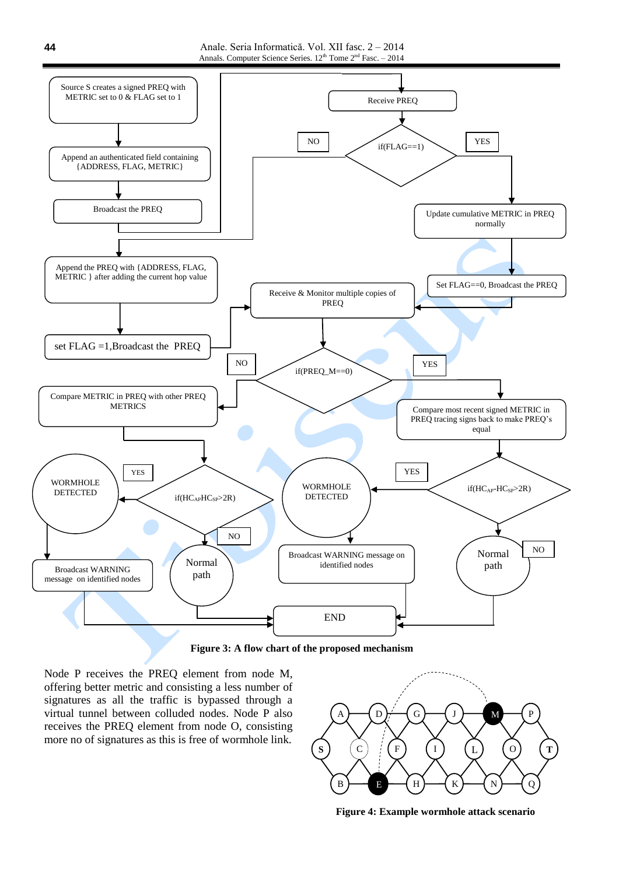

**Figure 3: A flow chart of the proposed mechanism**

Node P receives the PREQ element from node M, offering better metric and consisting a less number of signatures as all the traffic is bypassed through a virtual tunnel between colluded nodes. Node P also receives the PREQ element from node O, consisting more no of signatures as this is free of wormhole link.



**Figure 4: Example wormhole attack scenario**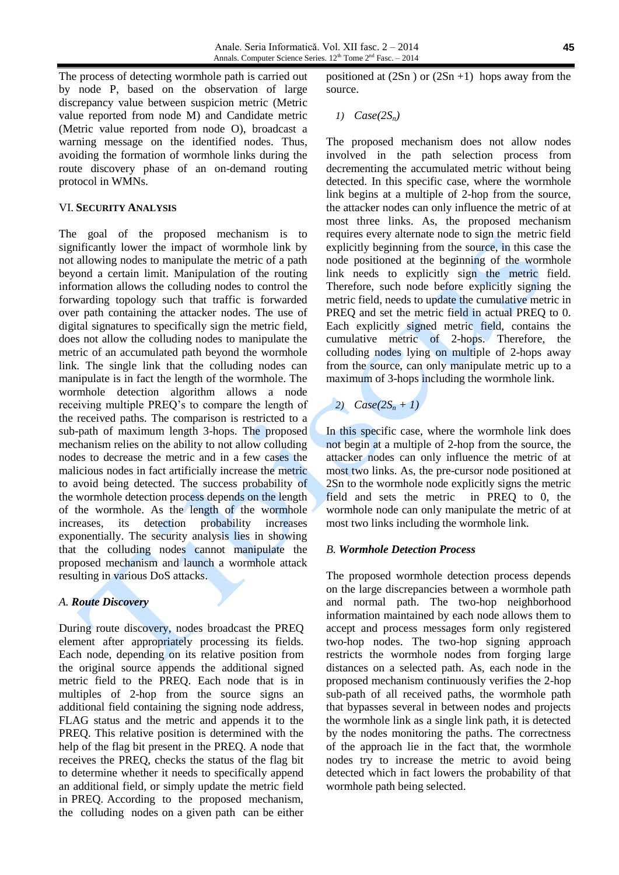The process of detecting wormhole path is carried out by node P, based on the observation of large discrepancy value between suspicion metric (Metric value reported from node M) and Candidate metric (Metric value reported from node O), broadcast a warning message on the identified nodes. Thus, avoiding the formation of wormhole links during the route discovery phase of an on-demand routing protocol in WMNs.

## VI. **SECURITY ANALYSIS**

The goal of the proposed mechanism is to significantly lower the impact of wormhole link by not allowing nodes to manipulate the metric of a path beyond a certain limit. Manipulation of the routing information allows the colluding nodes to control the forwarding topology such that traffic is forwarded over path containing the attacker nodes. The use of digital signatures to specifically sign the metric field, does not allow the colluding nodes to manipulate the metric of an accumulated path beyond the wormhole link. The single link that the colluding nodes can manipulate is in fact the length of the wormhole. The wormhole detection algorithm allows a node receiving multiple PREQ's to compare the length of the received paths. The comparison is restricted to a sub-path of maximum length 3-hops. The proposed mechanism relies on the ability to not allow colluding nodes to decrease the metric and in a few cases the malicious nodes in fact artificially increase the metric to avoid being detected. The success probability of the wormhole detection process depends on the length of the wormhole. As the length of the wormhole increases, its detection probability increases exponentially. The security analysis lies in showing that the colluding nodes cannot manipulate the proposed mechanism and launch a wormhole attack resulting in various DoS attacks.

# *A. Route Discovery*

During route discovery, nodes broadcast the PREQ element after appropriately processing its fields. Each node, depending on its relative position from the original source appends the additional signed metric field to the PREQ. Each node that is in multiples of 2-hop from the source signs an additional field containing the signing node address, FLAG status and the metric and appends it to the PREQ. This relative position is determined with the help of the flag bit present in the PREQ. A node that receives the PREQ, checks the status of the flag bit to determine whether it needs to specifically append an additional field, or simply update the metric field in PREQ. According to the proposed mechanism, the colluding nodes on a given path can be either

positioned at  $(2Sn)$  or  $(2Sn +1)$  hops away from the source.

*1) Case(2Sn)*

The proposed mechanism does not allow nodes involved in the path selection process from decrementing the accumulated metric without being detected. In this specific case, where the wormhole link begins at a multiple of 2-hop from the source, the attacker nodes can only influence the metric of at most three links. As, the proposed mechanism requires every alternate node to sign the metric field explicitly beginning from the source, in this case the node positioned at the beginning of the wormhole link needs to explicitly sign the metric field. Therefore, such node before explicitly signing the metric field, needs to update the cumulative metric in PREQ and set the metric field in actual PREQ to 0. Each explicitly signed metric field, contains the cumulative metric of 2-hops. Therefore, the colluding nodes lying on multiple of 2-hops away from the source, can only manipulate metric up to a maximum of 3-hops including the wormhole link.

2)  $Case(2S_n + 1)$ 

In this specific case, where the wormhole link does not begin at a multiple of 2-hop from the source, the attacker nodes can only influence the metric of at most two links. As, the pre-cursor node positioned at 2Sn to the wormhole node explicitly signs the metric field and sets the metric in PREQ to 0, the wormhole node can only manipulate the metric of at most two links including the wormhole link.

# *B. Wormhole Detection Process*

The proposed wormhole detection process depends on the large discrepancies between a wormhole path and normal path. The two-hop neighborhood information maintained by each node allows them to accept and process messages form only registered two-hop nodes. The two-hop signing approach restricts the wormhole nodes from forging large distances on a selected path. As, each node in the proposed mechanism continuously verifies the 2-hop sub-path of all received paths, the wormhole path that bypasses several in between nodes and projects the wormhole link as a single link path, it is detected by the nodes monitoring the paths. The correctness of the approach lie in the fact that, the wormhole nodes try to increase the metric to avoid being detected which in fact lowers the probability of that wormhole path being selected.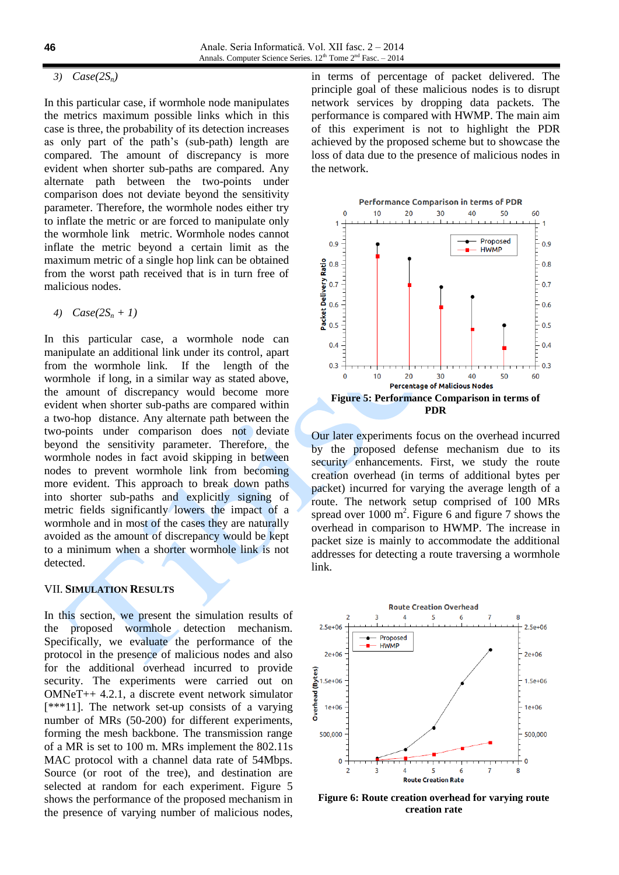## *3) Case(2Sn)*

In this particular case, if wormhole node manipulates the metrics maximum possible links which in this case is three, the probability of its detection increases as only part of the path's (sub-path) length are compared. The amount of discrepancy is more evident when shorter sub-paths are compared. Any alternate path between the two-points under comparison does not deviate beyond the sensitivity parameter. Therefore, the wormhole nodes either try to inflate the metric or are forced to manipulate only the wormhole link metric. Wormhole nodes cannot inflate the metric beyond a certain limit as the maximum metric of a single hop link can be obtained from the worst path received that is in turn free of malicious nodes.

*4) Case(2S<sup>n</sup> + 1)*

In this particular case, a wormhole node can manipulate an additional link under its control, apart from the wormhole link. If the length of the wormhole if long, in a similar way as stated above, the amount of discrepancy would become more evident when shorter sub-paths are compared within a two-hop distance. Any alternate path between the two-points under comparison does not deviate beyond the sensitivity parameter. Therefore, the wormhole nodes in fact avoid skipping in between nodes to prevent wormhole link from becoming more evident. This approach to break down paths into shorter sub-paths and explicitly signing of metric fields significantly lowers the impact of a wormhole and in most of the cases they are naturally avoided as the amount of discrepancy would be kept to a minimum when a shorter wormhole link is not detected.

## VII. **SIMULATION RESULTS**

In this section, we present the simulation results of the proposed wormhole detection mechanism. Specifically, we evaluate the performance of the protocol in the presence of malicious nodes and also for the additional overhead incurred to provide security. The experiments were carried out on OMNeT++ 4.2.1, a discrete event network simulator [\*\*\*11]. The network set-up consists of a varying number of MRs (50-200) for different experiments, forming the mesh backbone. The transmission range of a MR is set to 100 m. MRs implement the 802.11s MAC protocol with a channel data rate of 54Mbps. Source (or root of the tree), and destination are selected at random for each experiment. Figure 5 shows the performance of the proposed mechanism in the presence of varying number of malicious nodes,

in terms of percentage of packet delivered. The principle goal of these malicious nodes is to disrupt network services by dropping data packets. The performance is compared with HWMP. The main aim of this experiment is not to highlight the PDR achieved by the proposed scheme but to showcase the loss of data due to the presence of malicious nodes in the network.



Our later experiments focus on the overhead incurred by the proposed defense mechanism due to its security enhancements. First, we study the route creation overhead (in terms of additional bytes per packet) incurred for varying the average length of a route. The network setup comprised of 100 MRs spread over  $1000 \text{ m}^2$ . Figure 6 and figure 7 shows the overhead in comparison to HWMP. The increase in packet size is mainly to accommodate the additional addresses for detecting a route traversing a wormhole link.



**Figure 6: Route creation overhead for varying route creation rate**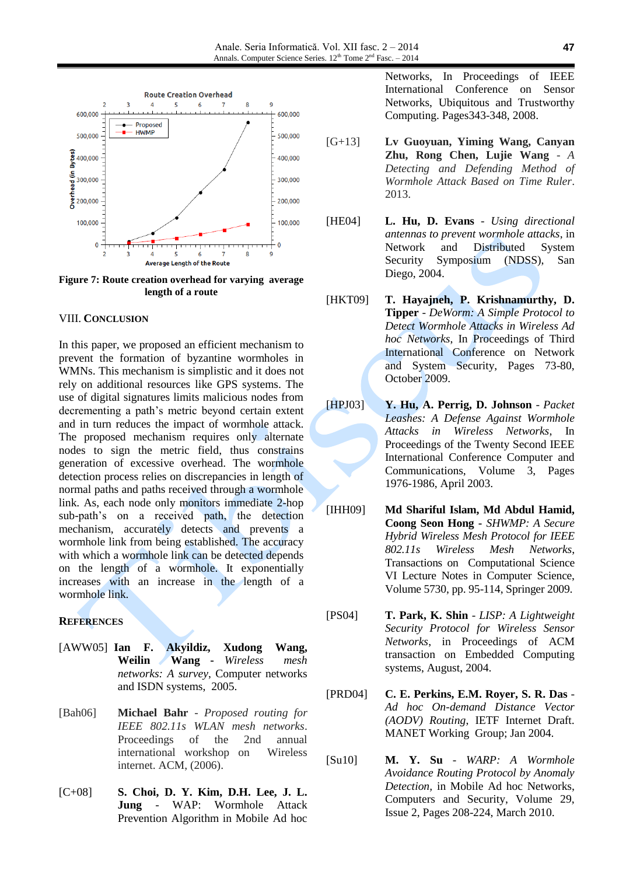

**Figure 7: Route creation overhead for varying average length of a route**

## VIII. **CONCLUSION**

In this paper, we proposed an efficient mechanism to prevent the formation of byzantine wormholes in WMNs. This mechanism is simplistic and it does not rely on additional resources like GPS systems. The use of digital signatures limits malicious nodes from decrementing a path's metric beyond certain extent and in turn reduces the impact of wormhole attack. The proposed mechanism requires only alternate nodes to sign the metric field, thus constrains generation of excessive overhead. The wormhole detection process relies on discrepancies in length of normal paths and paths received through a wormhole link. As, each node only monitors immediate 2-hop sub-path's on a received path, the detection mechanism, accurately detects and prevents a wormhole link from being established. The accuracy with which a wormhole link can be detected depends on the length of a wormhole. It exponentially increases with an increase in the length of a wormhole link.

# **REFERENCES**

- [AWW05] **Ian F. Akyildiz, Xudong Wang, Weilin Wang -** *Wireless mesh networks: A survey*, Computer networks and ISDN systems, 2005.
- [Bah06] **Michael Bahr** *Proposed routing for IEEE 802.11s WLAN mesh networks*. Proceedings of the 2nd annual international workshop on Wireless internet. ACM, (2006).
- [C+08] **S. Choi, D. Y. Kim, D.H. Lee, J. L. Jung** - WAP: Wormhole Attack Prevention Algorithm in Mobile Ad hoc

Networks, In Proceedings of IEEE International Conference on Sensor Networks, Ubiquitous and Trustworthy Computing. Pages343-348, 2008.

- [G+13] **Lv Guoyuan, Yiming Wang, Canyan Zhu, Rong Chen, Lujie Wang** - *A Detecting and Defending Method of Wormhole Attack Based on Time Ruler*. 2013.
- [HE04] **L. Hu, D. Evans** *Using directional antennas to prevent wormhole attacks*, in Network and Distributed System Security Symposium (NDSS), San Diego, 2004.
- [HKT09] **T. Hayajneh, P. Krishnamurthy, D. Tipper** - *DeWorm: A Simple Protocol to Detect Wormhole Attacks in Wireless Ad hoc Networks*, In Proceedings of Third International Conference on Network and System Security, Pages 73-80, October 2009.
- [HPJ03] **Y. Hu, A. Perrig, D. Johnson** *Packet Leashes: A Defense Against Wormhole Attacks in Wireless Networks*, In Proceedings of the Twenty Second IEEE International Conference Computer and Communications, Volume 3, Pages 1976-1986, April 2003.
- [IHH09] **Md Shariful Islam, Md Abdul Hamid, Coong Seon Hong -** *SHWMP: A Secure Hybrid Wireless Mesh Protocol for IEEE 802.11s Wireless Mesh Networks*, Transactions on Computational Science VI Lecture Notes in Computer Science, Volume 5730, pp. 95-114, Springer 2009.
- [PS04] **T. Park, K. Shin** *LISP: A Lightweight Security Protocol for Wireless Sensor Networks*, in Proceedings of ACM transaction on Embedded Computing systems, August, 2004.
- [PRD04] **C. E. Perkins, E.M. Royer, S. R. Das** *Ad hoc On-demand Distance Vector (AODV) Routing*, IETF Internet Draft. MANET Working Group; Jan 2004.
- [Su10] **M. Y. Su** *WARP: A Wormhole Avoidance Routing Protocol by Anomaly Detection,* in Mobile Ad hoc Networks, Computers and Security, Volume 29, Issue 2, Pages 208-224, March 2010.